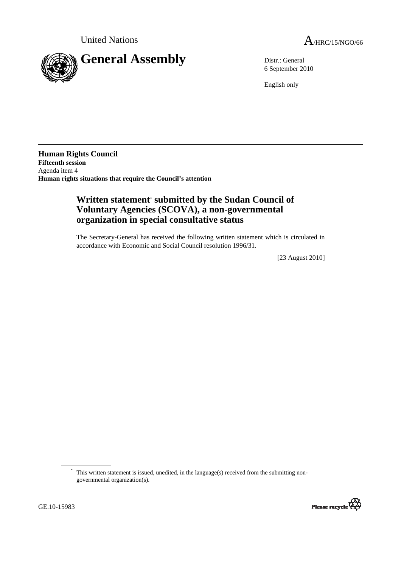



6 September 2010

English only

**Human Rights Council Fifteenth session**  Agenda item 4 **Human rights situations that require the Council's attention** 

## **Written statement**\*  **submitted by the Sudan Council of Voluntary Agencies (SCOVA), a non-governmental organization in special consultative status**

The Secretary-General has received the following written statement which is circulated in accordance with Economic and Social Council resolution 1996/31.

[23 August 2010]

<sup>\*</sup> This written statement is issued, unedited, in the language(s) received from the submitting nongovernmental organization(s).

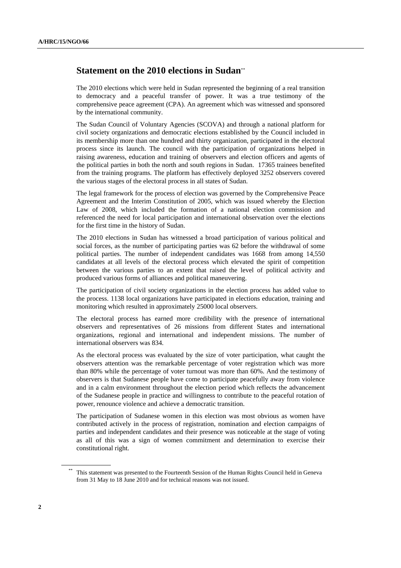## **Statement on the 2010 elections in Sudan**\*\*

The 2010 elections which were held in Sudan represented the beginning of a real transition to democracy and a peaceful transfer of power. It was a true testimony of the comprehensive peace agreement (CPA). An agreement which was witnessed and sponsored by the international community.

The Sudan Council of Voluntary Agencies (SCOVA) and through a national platform for civil society organizations and democratic elections established by the Council included in its membership more than one hundred and thirty organization, participated in the electoral process since its launch. The council with the participation of organizations helped in raising awareness, education and training of observers and election officers and agents of the political parties in both the north and south regions in Sudan. 17365 trainees benefited from the training programs. The platform has effectively deployed 3252 observers covered the various stages of the electoral process in all states of Sudan.

The legal framework for the process of election was governed by the Comprehensive Peace Agreement and the Interim Constitution of 2005, which was issued whereby the Election Law of 2008, which included the formation of a national election commission and referenced the need for local participation and international observation over the elections for the first time in the history of Sudan.

The 2010 elections in Sudan has witnessed a broad participation of various political and social forces, as the number of participating parties was 62 before the withdrawal of some political parties. The number of independent candidates was 1668 from among 14,550 candidates at all levels of the electoral process which elevated the spirit of competition between the various parties to an extent that raised the level of political activity and produced various forms of alliances and political maneuvering.

The participation of civil society organizations in the election process has added value to the process. 1138 local organizations have participated in elections education, training and monitoring which resulted in approximately 25000 local observers.

The electoral process has earned more credibility with the presence of international observers and representatives of 26 missions from different States and international organizations, regional and international and independent missions. The number of international observers was 834.

As the electoral process was evaluated by the size of voter participation, what caught the observers attention was the remarkable percentage of voter registration which was more than 80% while the percentage of voter turnout was more than 60%. And the testimony of observers is that Sudanese people have come to participate peacefully away from violence and in a calm environment throughout the election period which reflects the advancement of the Sudanese people in practice and willingness to contribute to the peaceful rotation of power, renounce violence and achieve a democratic transition.

The participation of Sudanese women in this election was most obvious as women have contributed actively in the process of registration, nomination and election campaigns of parties and independent candidates and their presence was noticeable at the stage of voting as all of this was a sign of women commitment and determination to exercise their constitutional right.

This statement was presented to the Fourteenth Session of the Human Rights Council held in Geneva from 31 May to 18 June 2010 and for technical reasons was not issued.